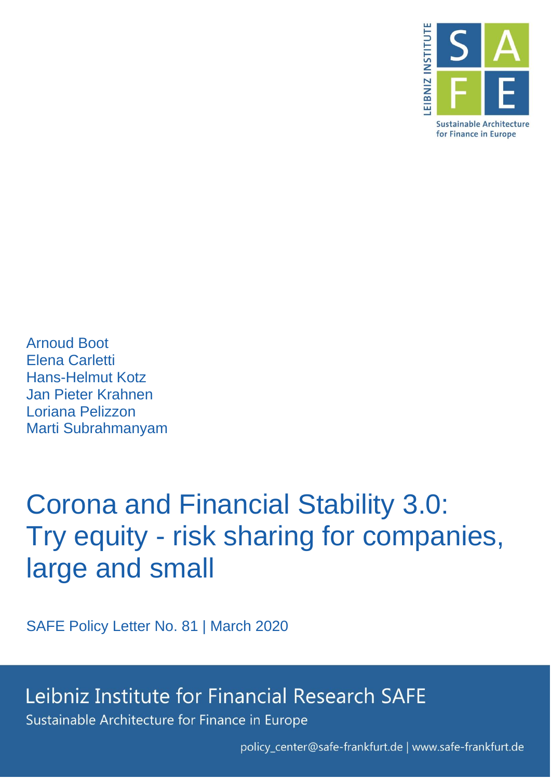

Arnoud Boot Elena Carletti Hans-Helmut Kotz Jan Pieter Krahnen Loriana Pelizzon Marti Subrahmanyam

# Corona and Financial Stability 3.0: Try equity - risk sharing for companies, large and small

SAFE Policy Letter No. 81 | March 2020

## Leibniz Institute for Financial Research SAFE

Sustainable Architecture for Finance in Europe

policy\_center@safe-frankfurt.de | www.safe-frankfurt.de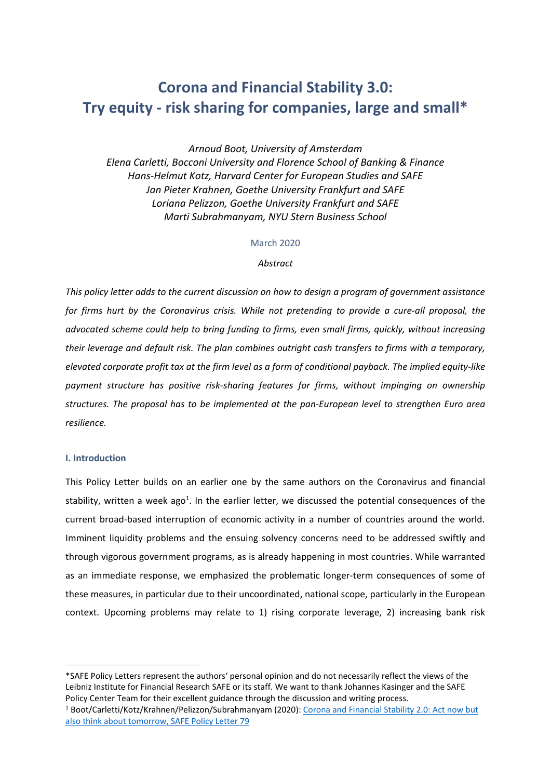### **Corona and Financial Stability 3.0: Try equity - risk sharing for companies, large and small\***

*Arnoud Boot, University of Amsterdam Elena Carletti, Bocconi University and Florence School of Banking & Finance Hans-Helmut Kotz, Harvard Center for European Studies and SAFE Jan Pieter Krahnen, Goethe University Frankfurt and SAFE Loriana Pelizzon, Goethe University Frankfurt and SAFE Marti Subrahmanyam, NYU Stern Business School* 

#### March 2020

#### *Abstract*

*This policy letter adds to the current discussion on how to design a program of government assistance for firms hurt by the Coronavirus crisis. While not pretending to provide a cure-all proposal, the advocated scheme could help to bring funding to firms, even small firms, quickly, without increasing their leverage and default risk. The plan combines outright cash transfers to firms with a temporary, elevated corporate profit tax at the firm level as a form of conditional payback. The implied equity-like payment structure has positive risk-sharing features for firms, without impinging on ownership structures. The proposal has to be implemented at the pan-European level to strengthen Euro area resilience.* 

#### **I. Introduction**

**.** 

This Policy Letter builds on an earlier one by the same authors on the Coronavirus and financial stability, written a week ago<sup>1</sup>. In the earlier letter, we discussed the potential consequences of the current broad-based interruption of economic activity in a number of countries around the world. Imminent liquidity problems and the ensuing solvency concerns need to be addressed swiftly and through vigorous government programs, as is already happening in most countries. While warranted as an immediate response, we emphasized the problematic longer-term consequences of some of these measures, in particular due to their uncoordinated, national scope, particularly in the European context. Upcoming problems may relate to 1) rising corporate leverage, 2) increasing bank risk

<sup>\*</sup>SAFE Policy Letters represent the authors' personal opinion and do not necessarily reflect the views of the Leibniz Institute for Financial Research SAFE or its staff. We want to thank Johannes Kasinger and the SAFE Policy Center Team for their excellent guidance through the discussion and writing process.

<sup>1</sup> Boot/Carletti/Kotz/Krahnen/Pelizzon/Subrahmanyam (2020)[: Corona and Financial Stability 2.0: Act now but](https://safe-frankfurt.de/policy-center/policy-publications/policy-publ-detailsview/publicationname/corona-and-financial-stability-20-act-jointly-now-but-also-think-about-tomorrow.html)  [also think about tomorrow, SAFE Policy Letter 79](https://safe-frankfurt.de/policy-center/policy-publications/policy-publ-detailsview/publicationname/corona-and-financial-stability-20-act-jointly-now-but-also-think-about-tomorrow.html)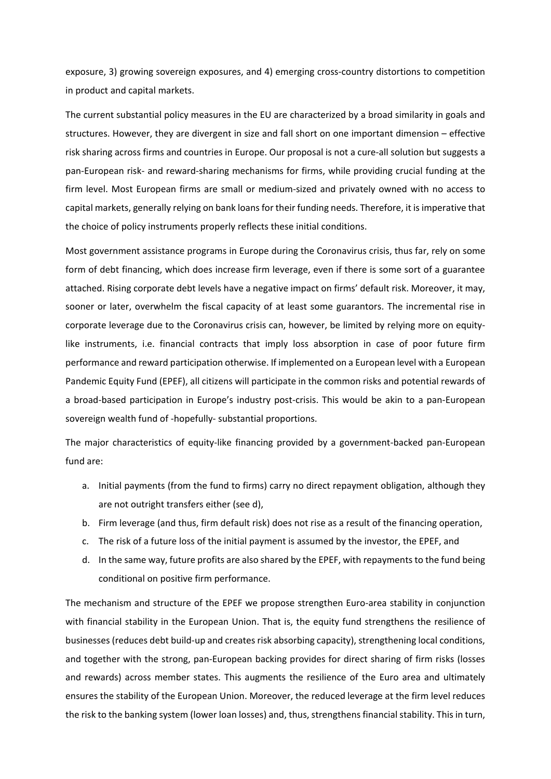exposure, 3) growing sovereign exposures, and 4) emerging cross-country distortions to competition in product and capital markets.

The current substantial policy measures in the EU are characterized by a broad similarity in goals and structures. However, they are divergent in size and fall short on one important dimension – effective risk sharing across firms and countries in Europe. Our proposal is not a cure-all solution but suggests a pan-European risk- and reward-sharing mechanisms for firms, while providing crucial funding at the firm level. Most European firms are small or medium-sized and privately owned with no access to capital markets, generally relying on bank loans for their funding needs. Therefore, it is imperative that the choice of policy instruments properly reflects these initial conditions.

Most government assistance programs in Europe during the Coronavirus crisis, thus far, rely on some form of debt financing, which does increase firm leverage, even if there is some sort of a guarantee attached. Rising corporate debt levels have a negative impact on firms' default risk. Moreover, it may, sooner or later, overwhelm the fiscal capacity of at least some guarantors. The incremental rise in corporate leverage due to the Coronavirus crisis can, however, be limited by relying more on equitylike instruments, i.e. financial contracts that imply loss absorption in case of poor future firm performance and reward participation otherwise. If implemented on a European level with a European Pandemic Equity Fund (EPEF), all citizens will participate in the common risks and potential rewards of a broad-based participation in Europe's industry post-crisis. This would be akin to a pan-European sovereign wealth fund of -hopefully- substantial proportions.

The major characteristics of equity-like financing provided by a government-backed pan-European fund are:

- a. Initial payments (from the fund to firms) carry no direct repayment obligation, although they are not outright transfers either (see d),
- b. Firm leverage (and thus, firm default risk) does not rise as a result of the financing operation,
- c. The risk of a future loss of the initial payment is assumed by the investor, the EPEF, and
- d. In the same way, future profits are also shared by the EPEF, with repayments to the fund being conditional on positive firm performance.

The mechanism and structure of the EPEF we propose strengthen Euro-area stability in conjunction with financial stability in the European Union. That is, the equity fund strengthens the resilience of businesses (reduces debt build-up and creates risk absorbing capacity), strengthening local conditions, and together with the strong, pan-European backing provides for direct sharing of firm risks (losses and rewards) across member states. This augments the resilience of the Euro area and ultimately ensures the stability of the European Union. Moreover, the reduced leverage at the firm level reduces the risk to the banking system (lower loan losses) and, thus, strengthens financial stability. This in turn,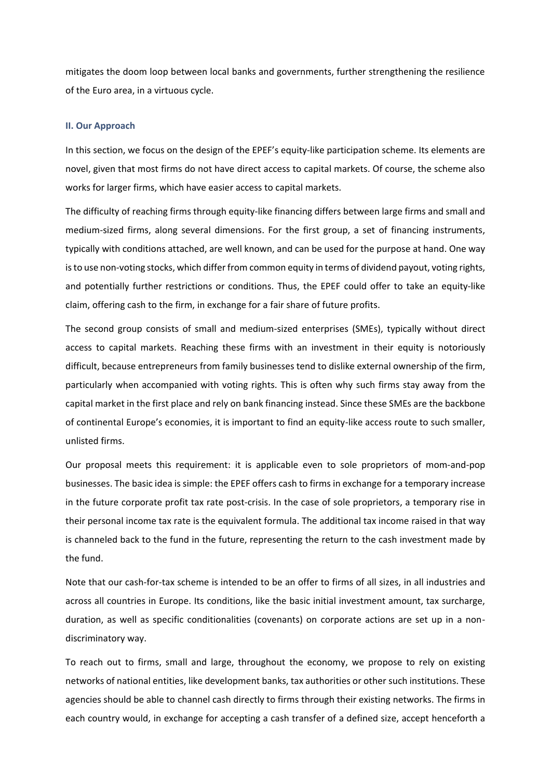mitigates the doom loop between local banks and governments, further strengthening the resilience of the Euro area, in a virtuous cycle.

#### **II. Our Approach**

In this section, we focus on the design of the EPEF's equity-like participation scheme. Its elements are novel, given that most firms do not have direct access to capital markets. Of course, the scheme also works for larger firms, which have easier access to capital markets.

The difficulty of reaching firms through equity-like financing differs between large firms and small and medium-sized firms, along several dimensions. For the first group, a set of financing instruments, typically with conditions attached, are well known, and can be used for the purpose at hand. One way is to use non-voting stocks, which differ from common equity in terms of dividend payout, voting rights, and potentially further restrictions or conditions. Thus, the EPEF could offer to take an equity-like claim, offering cash to the firm, in exchange for a fair share of future profits.

The second group consists of small and medium-sized enterprises (SMEs), typically without direct access to capital markets. Reaching these firms with an investment in their equity is notoriously difficult, because entrepreneurs from family businesses tend to dislike external ownership of the firm, particularly when accompanied with voting rights. This is often why such firms stay away from the capital market in the first place and rely on bank financing instead. Since these SMEs are the backbone of continental Europe's economies, it is important to find an equity-like access route to such smaller, unlisted firms.

Our proposal meets this requirement: it is applicable even to sole proprietors of mom-and-pop businesses. The basic idea is simple: the EPEF offers cash to firms in exchange for a temporary increase in the future corporate profit tax rate post-crisis. In the case of sole proprietors, a temporary rise in their personal income tax rate is the equivalent formula. The additional tax income raised in that way is channeled back to the fund in the future, representing the return to the cash investment made by the fund.

Note that our cash-for-tax scheme is intended to be an offer to firms of all sizes, in all industries and across all countries in Europe. Its conditions, like the basic initial investment amount, tax surcharge, duration, as well as specific conditionalities (covenants) on corporate actions are set up in a nondiscriminatory way.

To reach out to firms, small and large, throughout the economy, we propose to rely on existing networks of national entities, like development banks, tax authorities or other such institutions. These agencies should be able to channel cash directly to firms through their existing networks. The firms in each country would, in exchange for accepting a cash transfer of a defined size, accept henceforth a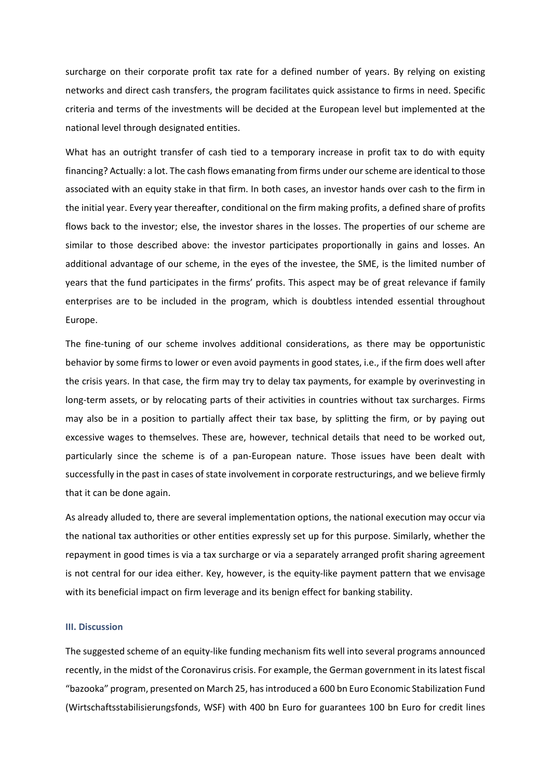surcharge on their corporate profit tax rate for a defined number of years. By relying on existing networks and direct cash transfers, the program facilitates quick assistance to firms in need. Specific criteria and terms of the investments will be decided at the European level but implemented at the national level through designated entities.

What has an outright transfer of cash tied to a temporary increase in profit tax to do with equity financing? Actually: a lot. The cash flows emanating from firms under our scheme are identical to those associated with an equity stake in that firm. In both cases, an investor hands over cash to the firm in the initial year. Every year thereafter, conditional on the firm making profits, a defined share of profits flows back to the investor; else, the investor shares in the losses. The properties of our scheme are similar to those described above: the investor participates proportionally in gains and losses. An additional advantage of our scheme, in the eyes of the investee, the SME, is the limited number of years that the fund participates in the firms' profits. This aspect may be of great relevance if family enterprises are to be included in the program, which is doubtless intended essential throughout Europe.

The fine-tuning of our scheme involves additional considerations, as there may be opportunistic behavior by some firms to lower or even avoid payments in good states, i.e., if the firm does well after the crisis years. In that case, the firm may try to delay tax payments, for example by overinvesting in long-term assets, or by relocating parts of their activities in countries without tax surcharges. Firms may also be in a position to partially affect their tax base, by splitting the firm, or by paying out excessive wages to themselves. These are, however, technical details that need to be worked out, particularly since the scheme is of a pan-European nature. Those issues have been dealt with successfully in the past in cases of state involvement in corporate restructurings, and we believe firmly that it can be done again.

As already alluded to, there are several implementation options, the national execution may occur via the national tax authorities or other entities expressly set up for this purpose. Similarly, whether the repayment in good times is via a tax surcharge or via a separately arranged profit sharing agreement is not central for our idea either. Key, however, is the equity-like payment pattern that we envisage with its beneficial impact on firm leverage and its benign effect for banking stability.

#### **III. Discussion**

The suggested scheme of an equity-like funding mechanism fits well into several programs announced recently, in the midst of the Coronavirus crisis. For example, the German government in its latest fiscal "bazooka" program, presented on March 25, has introduced a 600 bn Euro Economic Stabilization Fund (Wirtschaftsstabilisierungsfonds, WSF) with 400 bn Euro for guarantees 100 bn Euro for credit lines